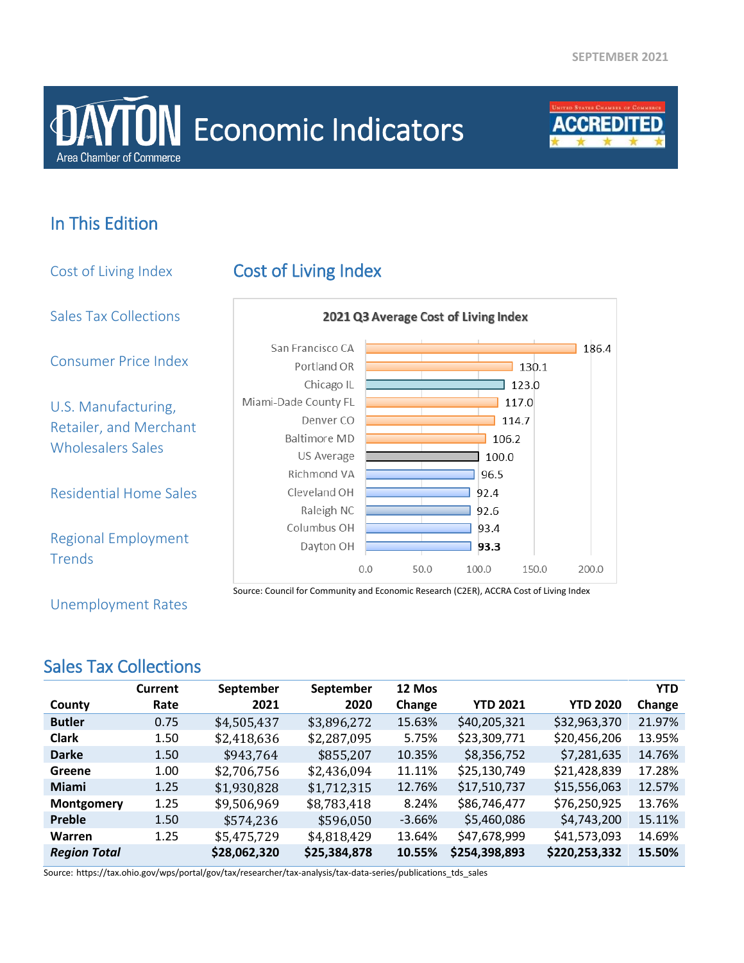# **Area Chamber of Commerce DAYTON** Economic Indicators



# In This Edition

Cost of Living Index Cost of Living Index Sales Tax Collections 2021 Q3 Average Cost of Living Index San Francisco CA  $186.4$ Consumer Price Index Portland OR  $130.1$ Chicago IL  $\overline{\phantom{0}}$  123.0 Miami-Dade County FL  $\overline{1}$  117.0 U.S. Manufacturing, Denver CO  $114.7$ Retailer, and Merchant Baltimore MD 106.2 Wholesalers Sales US Average 100.0 Richmond VA 96.5 Residential Home Sales Cleveland OH 92.4 Raleigh NC 92.6 Columbus OH 93.4 Regional Employment Dayton OH 93.3 **Trends**  $0.0$ 50.0 100.0 150.0 200.0 Source: Council for Community and Economic Research (C2ER), ACCRA Cost of Living Index

Unemployment Rates

## Sales Tax Collections

|                     | <b>Current</b> | September    | September    | 12 Mos   |                 |                 | <b>YTD</b> |
|---------------------|----------------|--------------|--------------|----------|-----------------|-----------------|------------|
| County              | Rate           | 2021         | 2020         | Change   | <b>YTD 2021</b> | <b>YTD 2020</b> | Change     |
| <b>Butler</b>       | 0.75           | \$4,505,437  | \$3,896,272  | 15.63%   | \$40,205,321    | \$32,963,370    | 21.97%     |
| <b>Clark</b>        | 1.50           | \$2,418,636  | \$2,287,095  | 5.75%    | \$23,309,771    | \$20,456,206    | 13.95%     |
| <b>Darke</b>        | 1.50           | \$943,764    | \$855,207    | 10.35%   | \$8,356,752     | \$7,281,635     | 14.76%     |
| Greene              | 1.00           | \$2,706,756  | \$2,436,094  | 11.11%   | \$25,130,749    | \$21,428,839    | 17.28%     |
| <b>Miami</b>        | 1.25           | \$1,930,828  | \$1,712,315  | 12.76%   | \$17,510,737    | \$15,556,063    | 12.57%     |
| Montgomery          | 1.25           | \$9,506,969  | \$8,783,418  | 8.24%    | \$86,746,477    | \$76,250,925    | 13.76%     |
| Preble              | 1.50           | \$574,236    | \$596,050    | $-3.66%$ | \$5,460,086     | \$4,743,200     | 15.11%     |
| <b>Warren</b>       | 1.25           | \$5,475,729  | \$4,818,429  | 13.64%   | \$47,678,999    | \$41,573,093    | 14.69%     |
| <b>Region Total</b> |                | \$28,062,320 | \$25,384,878 | 10.55%   | \$254,398,893   | \$220,253,332   | 15.50%     |

Source: https://tax.ohio.gov/wps/portal/gov/tax/researcher/tax-analysis/tax-data-series/publications\_tds\_sales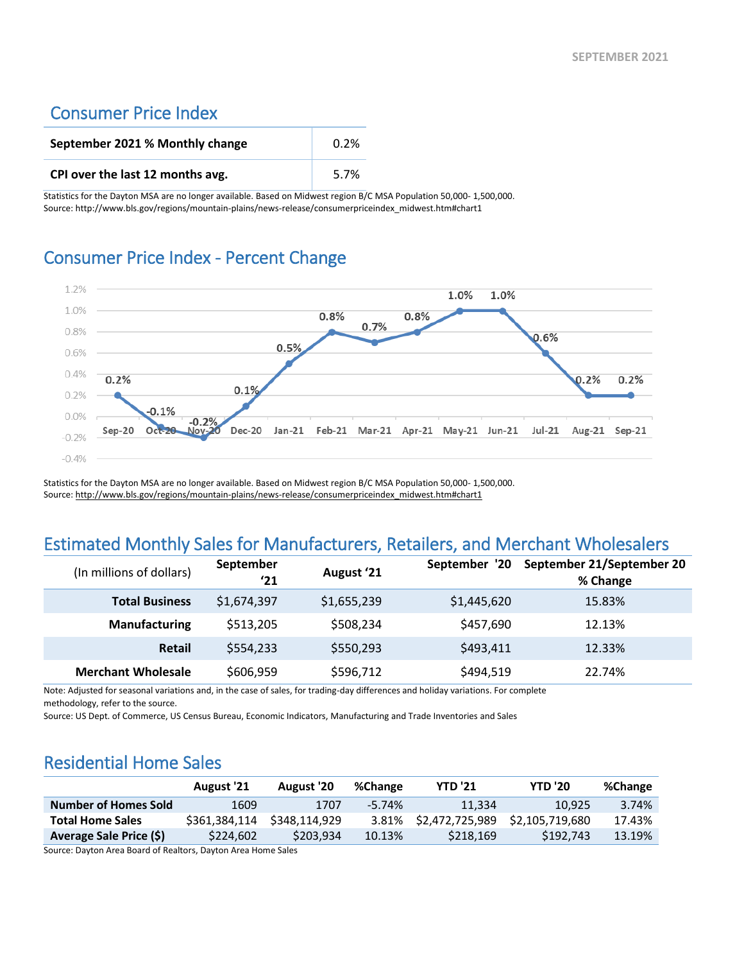#### Consumer Price Index

| September 2021 % Monthly change  | 0.2% |
|----------------------------------|------|
| CPI over the last 12 months avg. | 5.7% |

Statistics for the Dayton MSA are no longer available. Based on Midwest region B/C MSA Population 50,000- 1,500,000. Source: http://www.bls.gov/regions/mountain-plains/news-release/consumerpriceindex\_midwest.htm#chart1

#### Consumer Price Index - Percent Change



Statistics for the Dayton MSA are no longer available. Based on Midwest region B/C MSA Population 50,000- 1,500,000. Source[: http://www.bls.gov/regions/mountain-plains/news-release/consumerpriceindex\\_midwest.htm#chart1](http://www.bls.gov/regions/mountain-plains/news-release/consumerpriceindex_midwest.htm#chart1)

### Estimated Monthly Sales for Manufacturers, Retailers, and Merchant Wholesalers

| (In millions of dollars)  | September<br>'21 | August '21  | September '20 | September 21/September 20<br>% Change |
|---------------------------|------------------|-------------|---------------|---------------------------------------|
| <b>Total Business</b>     | \$1,674,397      | \$1,655,239 | \$1,445,620   | 15.83%                                |
| <b>Manufacturing</b>      | \$513,205        | \$508,234   | \$457,690     | 12.13%                                |
| <b>Retail</b>             | \$554,233        | \$550,293   | \$493,411     | 12.33%                                |
| <b>Merchant Wholesale</b> | \$606,959        | \$596,712   | \$494,519     | 22.74%                                |

Note: Adjusted for seasonal variations and, in the case of sales, for trading-day differences and holiday variations. For complete

methodology, refer to the source.

Source: US Dept. of Commerce, US Census Bureau, Economic Indicators, Manufacturing and Trade Inventories and Sales

#### Residential Home Sales

|                             | <b>August '21</b> | August '20    | %Change   | <b>YTD '21</b>  | <b>YTD '20</b>  | %Change |
|-----------------------------|-------------------|---------------|-----------|-----------------|-----------------|---------|
| <b>Number of Homes Sold</b> | 1609              | 1707          | $-5.74\%$ | 11.334          | 10.925          | 3.74%   |
| <b>Total Home Sales</b>     | \$361.384.114     | \$348.114.929 | 3.81%     | \$2.472.725.989 | \$2.105.719.680 | 17.43%  |
| Average Sale Price (\$)     | \$224,602         | \$203.934     | 10.13%    | \$218.169       | \$192.743       | 13.19%  |

Source: Dayton Area Board of Realtors, Dayton Area Home Sales